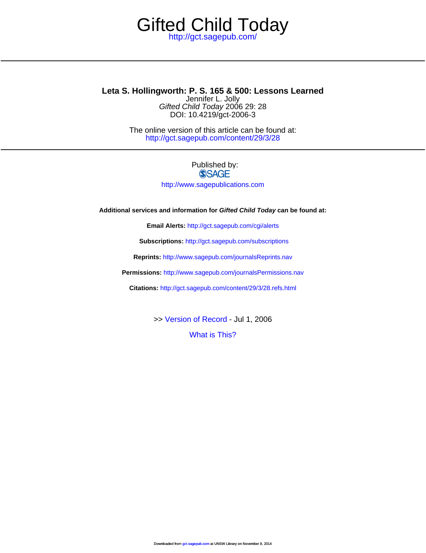## <http://gct.sagepub.com/> Gifted Child Today

DOI: 10.4219/gct-2006-3 Gifted Child Today 2006 29: 28 Jennifer L. Jolly **Leta S. Hollingworth: P. S. 165 & 500: Lessons Learned**

> <http://gct.sagepub.com/content/29/3/28> The online version of this article can be found at:

## Published by: **SSAGE** <http://www.sagepublications.com>

**Additional services and information for Gifted Child Today can be found at:**

**Email Alerts:** <http://gct.sagepub.com/cgi/alerts>

**Subscriptions:** <http://gct.sagepub.com/subscriptions>

**Reprints:** <http://www.sagepub.com/journalsReprints.nav>

**Permissions:** <http://www.sagepub.com/journalsPermissions.nav>

**Citations:** <http://gct.sagepub.com/content/29/3/28.refs.html>

>> [Version of Record -](http://gct.sagepub.com/content/29/3/28.full.pdf) Jul 1, 2006

[What is This?](http://online.sagepub.com/site/sphelp/vorhelp.xhtml)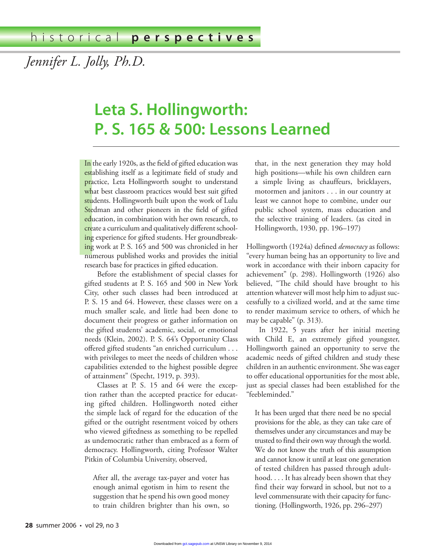*Jennifer L. Jolly, Ph.D.*

## Leta S. Hollingworth: **P. S. 165 & 500: Lessons Learned**

In the<br>establi<br>practic<br>what l<br>studer<br>Stedm<br>educat<br>create<br>ing ex<br>numer<br>researc<br>Be<br>stifted In the early 1920s, as the field of gifted education was establishing itself as a legitimate field of study and practice, Leta Hollingworth sought to understand what best classroom practices would best suit gifted students. Hollingworth built upon the work of Lulu Stedman and other pioneers in the field of gifted education, in combination with her own research, to create a curriculum and qualitatively different schooling experience for gifted students. Her groundbreaking work at P. S. 165 and 500 was chronicled in her numerous published works and provides the initial research base for practices in gifted education.

Before the establishment of special classes for gifted students at P. S. 165 and 500 in New York City, other such classes had been introduced at P. S. 15 and 64. However, these classes were on a much smaller scale, and little had been done to document their progress or gather information on the gifted students' academic, social, or emotional needs (Klein, 2002). P. S. 64's Opportunity Class offered gifted students "an enriched curriculum . . . with privileges to meet the needs of children whose capabilities extended to the highest possible degree of attainment" (Specht, 1919, p. 393).

Classes at P. S. 15 and 64 were the exception rather than the accepted practice for educating gifted children. Hollingworth noted either the simple lack of regard for the education of the gifted or the outright resentment voiced by others who viewed giftedness as something to be repelled as undemocratic rather than embraced as a form of democracy. Hollingworth, citing Professor Walter Pitkin of Columbia University, observed,

After all, the average tax-payer and voter has enough animal egotism in him to resent the suggestion that he spend his own good money to train children brighter than his own, so

that, in the next generation they may hold high positions—while his own children earn a simple living as chauffeurs, bricklayers, motormen and janitors . . . in our country at least we cannot hope to combine, under our public school system, mass education and the selective training of leaders. (as cited in Hollingworth, 1930, pp. 196–197)

Hollingworth (1924a) defined *democracy* as follows: "every human being has an opportunity to live and work in accordance with their inborn capacity for achievement" (p. 298). Hollingworth (1926) also believed, "The child should have brought to his attention whatever will most help him to adjust successfully to a civilized world, and at the same time to render maximum service to others, of which he may be capable" (p. 313).

In 1922, 5 years after her initial meeting with Child E, an extremely gifted youngster, Hollingworth gained an opportunity to serve the academic needs of gifted children and study these children in an authentic environment. She was eager to offer educational opportunities for the most able, just as special classes had been established for the "feebleminded."

It has been urged that there need be no special provisions for the able, as they can take care of themselves under any circumstances and may be trusted to find their own way through the world. We do not know the truth of this assumption and cannot know it until at least one generation of tested children has passed through adulthood. . . . It has already been shown that they find their way forward in school, but not to a level commensurate with their capacity for functioning. (Hollingworth, 1926, pp. 296–297)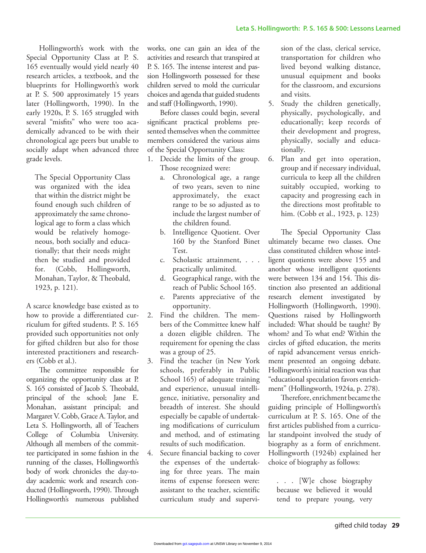Hollingworth's work with the Special Opportunity Class at P. S. 165 eventually would yield nearly 40 research articles, a textbook, and the blueprints for Hollingworth's work at P. S. 500 approximately 15 years later (Hollingworth, 1990). In the early 1920s, P. S. 165 struggled with several "misfits" who were too academically advanced to be with their chronological age peers but unable to socially adapt when advanced three grade levels.

The Special Opportunity Class was organized with the idea that within the district might be found enough such children of approximately the same chronological age to form a class which would be relatively homogeneous, both socially and educationally; that their needs might then be studied and provided for. (Cobb, Hollingworth, Monahan, Taylor, & Theobald, 1923, p. 121).

A scarce knowledge base existed as to how to provide a differentiated curriculum for gifted students. P. S. 165 provided such opportunities not only for gifted children but also for those interested practitioners and researchers (Cobb et al.).

The committee responsible for organizing the opportunity class at P. S. 165 consisted of Jacob S. Theobald, principal of the school; Jane E. Monahan, assistant principal; and Margaret V. Cobb, Grace A. Taylor, and Leta S. Hollingworth, all of Teachers College of Columbia University. Although all members of the committee participated in some fashion in the running of the classes, Hollingworth's body of work chronicles the day-today academic work and research conducted (Hollingworth, 1990). Through Hollingworth's numerous published

works, one can gain an idea of the activities and research that transpired at P. S. 165. The intense interest and passion Hollingworth possessed for these children served to mold the curricular choices and agenda that guided students and staff (Hollingworth, 1990).

Before classes could begin, several significant practical problems presented themselves when the committee members considered the various aims of the Special Opportunity Class:

- 1. Decide the limits of the group. Those recognized were:
	- a. Chronological age, a range of two years, seven to nine approximately, the exact range to be so adjusted as to include the largest number of the children found.
	- b. Intelligence Quotient. Over 160 by the Stanford Binet Test.
	- c. Scholastic attainment, . . . practically unlimited.
	- d. Geographical range, with the reach of Public School 165.
	- e. Parents appreciative of the opportunity.
- 2. Find the children. The members of the Committee knew half a dozen eligible children. The requirement for opening the class was a group of 25.
- 3. Find the teacher (in New York schools, preferably in Public School 165) of adequate training and experience, unusual intelligence, initiative, personality and breadth of interest. She should especially be capable of undertaking modifications of curriculum and method, and of estimating results of such modification.
- 4. Secure financial backing to cover the expenses of the undertaking for three years. The main items of expense foreseen were: assistant to the teacher, scientific curriculum study and supervi-

sion of the class, clerical service, transportation for children who lived beyond walking distance, unusual equipment and books for the classroom, and excursions and visits.

- 5. Study the children genetically, physically, psychologically, and educationally; keep records of their development and progress, physically, socially and educationally.
- 6. Plan and get into operation, group and if necessary individual, curricula to keep all the children suitably occupied, working to capacity and progressing each in the directions most profitable to him. (Cobb et al., 1923, p. 123)

The Special Opportunity Class ultimately became two classes. One class constituted children whose intelligent quotients were above 155 and another whose intelligent quotients were between 134 and 154. This distinction also presented an additional research element investigated by Hollingworth (Hollingworth, 1990). Questions raised by Hollingworth included: What should be taught? By whom? and To what end? Within the circles of gifted education, the merits of rapid advancement versus enrichment presented an ongoing debate. Hollingworth's initial reaction was that "educational speculation favors enrichment" (Hollingworth, 1924a, p. 278).

Therefore, enrichment became the guiding principle of Hollingworth's curriculum at P. S. 165. One of the first articles published from a curricular standpoint involved the study of biography as a form of enrichment. Hollingworth (1924b) explained her choice of biography as follows:

. . . [W]e chose biography because we believed it would tend to prepare young, very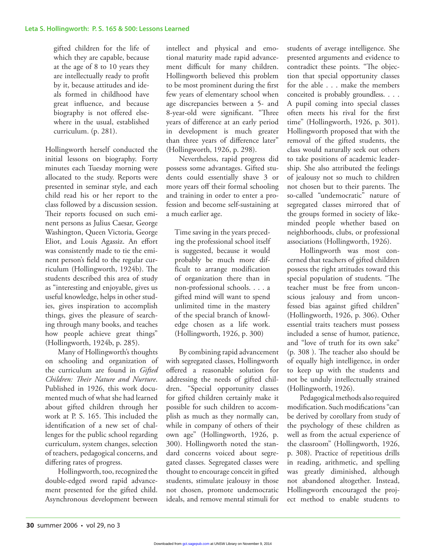gifted children for the life of which they are capable, because at the age of 8 to 10 years they are intellectually ready to profit by it, because attitudes and ideals formed in childhood have great influence, and because biography is not offered elsewhere in the usual, established curriculum. (p. 281).

Hollingworth herself conducted the initial lessons on biography. Forty minutes each Tuesday morning were allocated to the study. Reports were presented in seminar style, and each child read his or her report to the class followed by a discussion session. Their reports focused on such eminent persons as Julius Caesar, George Washington, Queen Victoria, George Eliot, and Louis Agassiz. An effort was consistently made to tie the eminent person's field to the regular curriculum (Hollingworth, 1924b). The students described this area of study as "interesting and enjoyable, gives us useful knowledge, helps in other studies, gives inspiration to accomplish things, gives the pleasure of searching through many books, and teaches how people achieve great things" (Hollingworth, 1924b, p. 285).

Many of Hollingworth's thoughts on schooling and organization of the curriculum are found in *Gifted Children: Their Nature and Nurture*. Published in 1926, this work documented much of what she had learned about gifted children through her work at P. S. 165. This included the identification of a new set of challenges for the public school regarding curriculum, system changes, selection of teachers, pedagogical concerns, and differing rates of progress.

Hollingworth, too, recognized the double-edged sword rapid advancement presented for the gifted child. Asynchronous development between

intellect and physical and emotional maturity made rapid advancement difficult for many children. Hollingworth believed this problem to be most prominent during the first few years of elementary school when age discrepancies between a 5- and 8-year-old were significant. "Three years of difference at an early period in development is much greater than three years of difference later" (Hollingworth, 1926, p. 298).

Nevertheless, rapid progress did possess some advantages. Gifted students could essentially shave 3 or more years off their formal schooling and training in order to enter a profession and become self-sustaining at a much earlier age.

Time saving in the years preceding the professional school itself is suggested, because it would probably be much more difficult to arrange modification of organization there than in non-professional schools. . . . a gifted mind will want to spend unlimited time in the mastery of the special branch of knowledge chosen as a life work. (Hollingworth, 1926, p. 300)

By combining rapid advancement with segregated classes, Hollingworth offered a reasonable solution for addressing the needs of gifted children. "Special opportunity classes for gifted children certainly make it possible for such children to accomplish as much as they normally can, while in company of others of their own age" (Hollingworth, 1926, p. 300). Hollingworth noted the standard concerns voiced about segregated classes. Segregated classes were thought to encourage conceit in gifted students, stimulate jealousy in those not chosen, promote undemocratic ideals, and remove mental stimuli for students of average intelligence. She presented arguments and evidence to contradict these points. "The objection that special opportunity classes for the able . . . make the members conceited is probably groundless. . . . A pupil coming into special classes often meets his rival for the first time" (Hollingworth, 1926, p. 301). Hollingworth proposed that with the removal of the gifted students, the class would naturally seek out others to take positions of academic leadership. She also attributed the feelings of jealousy not so much to children not chosen but to their parents. The so-called "undemocratic" nature of segregated classes mirrored that of the groups formed in society of likeminded people whether based on neighborhoods, clubs, or professional associations (Hollingworth, 1926).

Hollingworth was most concerned that teachers of gifted children possess the right attitudes toward this special population of students. "The teacher must be free from unconscious jealousy and from unconfessed bias against gifted children" (Hollingworth, 1926, p. 306). Other essential traits teachers must possess included a sense of humor, patience, and "love of truth for its own sake" (p. 308 ). The teacher also should be of equally high intelligence, in order to keep up with the students and not be unduly intellectually strained (Hollingworth, 1926).

Pedagogical methods also required modification. Such modifications "can be derived by corollary from study of the psychology of these children as well as from the actual experience of the classroom" (Hollingworth, 1926, p. 308). Practice of repetitious drills in reading, arithmetic, and spelling was greatly diminished, although not abandoned altogether. Instead, Hollingworth encouraged the project method to enable students to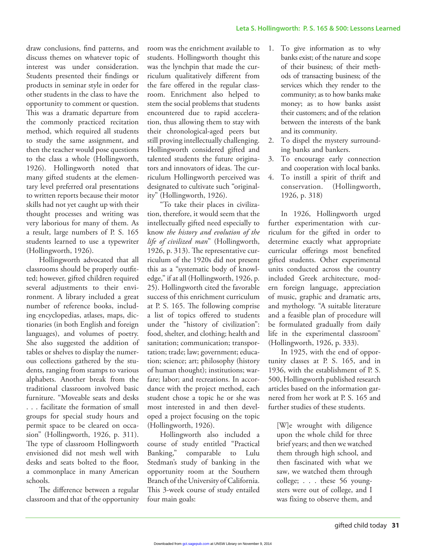draw conclusions, find patterns, and discuss themes on whatever topic of interest was under consideration. Students presented their findings or products in seminar style in order for other students in the class to have the opportunity to comment or question. This was a dramatic departure from the commonly practiced recitation method, which required all students to study the same assignment, and then the teacher would pose questions to the class a whole (Hollingworth, 1926). Hollingworth noted that many gifted students at the elementary level preferred oral presentations to written reports because their motor skills had not yet caught up with their thought processes and writing was very laborious for many of them. As a result, large numbers of P. S. 165 students learned to use a typewriter (Hollingworth, 1926).

Hollingworth advocated that all classrooms should be properly outfitted; however, gifted children required several adjustments to their environment. A library included a great number of reference books, including encyclopedias, atlases, maps, dictionaries (in both English and foreign languages), and volumes of poetry. She also suggested the addition of tables or shelves to display the numerous collections gathered by the students, ranging from stamps to various alphabets. Another break from the traditional classroom involved basic furniture. "Moveable seats and desks . . . facilitate the formation of small groups for special study hours and permit space to be cleared on occasion" (Hollingworth, 1926, p. 311). The type of classroom Hollingworth envisioned did not mesh well with desks and seats bolted to the floor, a commonplace in many American schools.

The difference between a regular classroom and that of the opportunity

room was the enrichment available to students. Hollingworth thought this was the lynchpin that made the curriculum qualitatively different from the fare offered in the regular classroom. Enrichment also helped to stem the social problems that students encountered due to rapid acceleration, thus allowing them to stay with their chronological-aged peers but still proving intellectually challenging. Hollingworth considered gifted and talented students the future originators and innovators of ideas. The curriculum Hollingworth perceived was designated to cultivate such "originality" (Hollingworth, 1926).

"To take their places in civilization, therefore, it would seem that the intellectually gifted need especially to know *the history and evolution of the life of civilized man*" (Hollingworth, 1926, p. 313). The representative curriculum of the 1920s did not present this as a "systematic body of knowledge," if at all (Hollingworth, 1926, p. 25). Hollingworth cited the favorable success of this enrichment curriculum at P. S. 165. The following comprise a list of topics offered to students under the "history of civilization": food, shelter, and clothing; health and sanitation; communication; transportation; trade; law; government; education; science; art; philosophy (history of human thought); institutions; warfare; labor; and recreations. In accordance with the project method, each student chose a topic he or she was most interested in and then developed a project focusing on the topic (Hollingworth, 1926).

Hollingworth also included a course of study entitled "Practical Banking," comparable to Lulu Stedman's study of banking in the opportunity room at the Southern Branch of the University of California. This 3-week course of study entailed four main goals:

- 1. To give information as to why banks exist; of the nature and scope of their business; of their methods of transacting business; of the services which they render to the community; as to how banks make money; as to how banks assist their customers; and of the relation between the interests of the bank and its community.
- 2. To dispel the mystery surrounding banks and bankers.
- 3. To encourage early connection and cooperation with local banks.
- 4. To instill a spirit of thrift and conservation. (Hollingworth, 1926, p. 318)

In 1926, Hollingworth urged further experimentation with curriculum for the gifted in order to determine exactly what appropriate curricular offerings most benefited gifted students. Other experimental units conducted across the country included Greek architecture, modern foreign language, appreciation of music, graphic and dramatic arts, and mythology. "A suitable literature and a feasible plan of procedure will be formulated gradually from daily life in the experimental classroom" (Hollingworth, 1926, p. 333).

In 1925, with the end of opportunity classes at P. S. 165, and in 1936, with the establishment of P. S. 500, Hollingworth published research articles based on the information garnered from her work at P. S. 165 and further studies of these students.

[W]e wrought with diligence upon the whole child for three brief years; and then we watched them through high school, and then fascinated with what we saw, we watched them through college; . . . these 56 youngsters were out of college, and I was fixing to observe them, and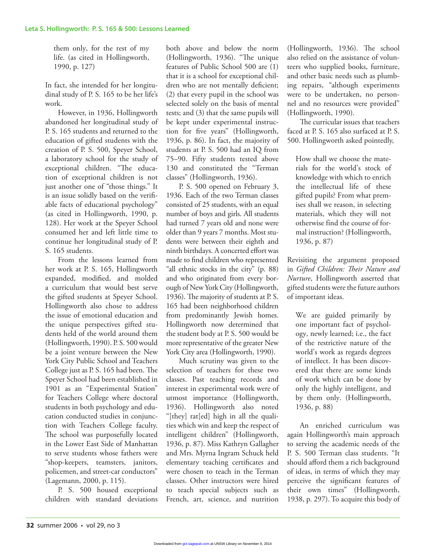them only, for the rest of my life. (as cited in Hollingworth, 1990, p. 127)

In fact, she intended for her longitudinal study of P. S. 165 to be her life's work.

However, in 1936, Hollingworth abandoned her longitudinal study of P. S. 165 students and returned to the education of gifted students with the creation of P. S. 500, Speyer School, a laboratory school for the study of exceptional children. "The education of exceptional children is not just another one of "those things." It is an issue solidly based on the verifiable facts of educational psychology" (as cited in Hollingworth, 1990, p. 128). Her work at the Speyer School consumed her and left little time to continue her longitudinal study of P. S. 165 students.

From the lessons learned from her work at P. S. 165, Hollingworth expanded, modified, and molded a curriculum that would best serve the gifted students at Speyer School. Hollingworth also chose to address the issue of emotional education and the unique perspectives gifted students held of the world around them (Hollingworth, 1990). P. S. 500 would be a joint venture between the New York City Public School and Teachers College just as P. S. 165 had been. The Speyer School had been established in 1901 as an "Experimental Station" for Teachers College where doctoral students in both psychology and education conducted studies in conjunction with Teachers College faculty. The school was purposefully located in the Lower East Side of Manhattan to serve students whose fathers were "shop-keepers, teamsters, janitors, policemen, and street-car conductors" (Lagemann, 2000, p. 115).

P. S. 500 housed exceptional children with standard deviations both above and below the norm (Hollingworth, 1936). "The unique features of Public School 500 are (1) that it is a school for exceptional children who are not mentally deficient; (2) that every pupil in the school was selected solely on the basis of mental tests; and (3) that the same pupils will be kept under experimental instruction for five years" (Hollingworth, 1936, p. 86). In fact, the majority of students at P. S. 500 had an IQ from 75–90. Fifty students tested above 130 and constituted the "Terman classes" (Hollingworth, 1936).

P. S. 500 opened on February 3, 1936. Each of the two Terman classes consisted of 25 students, with an equal number of boys and girls. All students had turned 7 years old and none were older than 9 years 7 months. Most students were between their eighth and ninth birthdays. A concerted effort was made to find children who represented "all ethnic stocks in the city" (p. 88) and who originated from every borough of New York City (Hollingworth, 1936). The majority of students at P. S. 165 had been neighborhood children from predominantly Jewish homes. Hollingworth now determined that the student body at P. S. 500 would be more representative of the greater New York City area (Hollingworth, 1990).

Much scrutiny was given to the selection of teachers for these two classes. Past teaching records and interest in experimental work were of utmost importance (Hollingworth, 1936). Hollingworth also noted "[they] rat[ed] high in all the qualities which win and keep the respect of intelligent children" (Hollingworth, 1936, p. 87). Miss Kathryn Gallagher and Mrs. Myrna Ingram Schuck held elementary teaching certificates and were chosen to teach in the Terman classes. Other instructors were hired to teach special subjects such as French, art, science, and nutrition

(Hollingworth, 1936). The school also relied on the assistance of volunteers who supplied books, furniture, and other basic needs such as plumbing repairs, "although experiments were to be undertaken, no personnel and no resources were provided" (Hollingworth, 1990).

The curricular issues that teachers faced at P. S. 165 also surfaced at P. S. 500. Hollingworth asked pointedly,

How shall we choose the materials for the world's stock of knowledge with which to enrich the intellectual life of these gifted pupils? From what premises shall we reason, in selecting materials, which they will not otherwise find the course of formal instruction? (Hollingworth, 1936, p. 87)

Revisiting the argument proposed in *Gifted Children: Their Nature and Nurture*, Hollingworth asserted that gifted students were the future authors of important ideas.

We are guided primarily by one important fact of psychology, newly learned; i.e., the fact of the restrictive nature of the world's work as regards degrees of intellect. It has been discovered that there are some kinds of work which can be done by only the highly intelligent, and by them only. (Hollingworth, 1936, p. 88)

An enriched curriculum was again Hollingworth's main approach to serving the academic needs of the P. S. 500 Terman class students. "It should afford them a rich background of ideas, in terms of which they may perceive the significant features of their own times" (Hollingworth, 1938, p. 297). To acquire this body of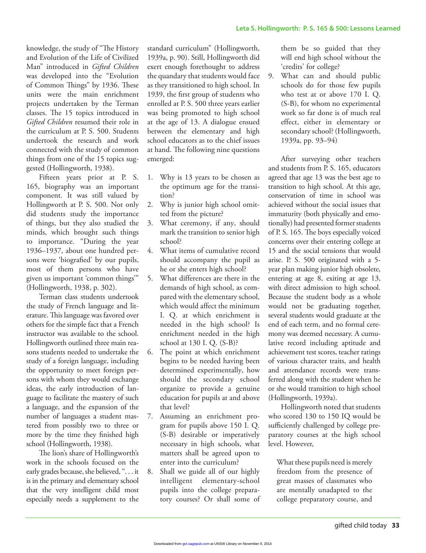knowledge, the study of "The History and Evolution of the Life of Civilized Man" introduced in *Gifted Children* was developed into the "Evolution of Common Things" by 1936. These units were the main enrichment projects undertaken by the Terman classes. The 15 topics introduced in *Gifted Children* resumed their role in the curriculum at P. S. 500. Students undertook the research and work connected with the study of common things from one of the 15 topics suggested (Hollingworth, 1938).

Fifteen years prior at P. S. 165, biography was an important component. It was still valued by Hollingworth at P. S. 500. Not only did students study the importance of things, but they also studied the minds, which brought such things to importance. "During the year 1936–1937, about one hundred persons were 'biografied' by our pupils, most of them persons who have given us important 'common things'" (Hollingworth, 1938, p. 302).

Terman class students undertook the study of French language and literature. This language was favored over others for the simple fact that a French instructor was available to the school. Hollingworth outlined three main reasons students needed to undertake the study of a foreign language, including the opportunity to meet foreign persons with whom they would exchange ideas, the early introduction of language to facilitate the mastery of such a language, and the expansion of the number of languages a student mastered from possibly two to three or more by the time they finished high school (Hollingworth, 1938).

The lion's share of Hollingworth's work in the schools focused on the early grades because, she believed, ". . . it is in the primary and elementary school that the very intelligent child most especially needs a supplement to the

standard curriculum" (Hollingworth, 1939a, p. 90). Still, Hollingworth did exert enough forethought to address the quandary that students would face as they transitioned to high school. In 1939, the first group of students who enrolled at P. S. 500 three years earlier was being promoted to high school at the age of 13. A dialogue ensued between the elementary and high school educators as to the chief issues at hand. The following nine questions emerged:

- 1. Why is 13 years to be chosen as the optimum age for the transition?
- 2. Why is junior high school omitted from the picture?
- 3. What ceremony, if any, should mark the transition to senior high school?
- 4. What items of cumulative record should accompany the pupil as he or she enters high school?
- 5. What differences are there in the demands of high school, as compared with the elementary school, which would affect the minimum I. Q. at which enrichment is needed in the high school? Is enrichment needed in the high school at 130 I. Q. (S-B)?
- 6. The point at which enrichment begins to be needed having been determined experimentally, how should the secondary school organize to provide a genuine education for pupils at and above that level?
- 7. Assuming an enrichment program for pupils above 150 I. Q. (S-B) desirable or imperatively necessary in high schools, what matters shall be agreed upon to enter into the curriculum?
- 8. Shall we guide all of our highly intelligent elementary-school pupils into the college preparatory courses? Or shall some of

them be so guided that they will end high school without the 'credits' for college?

9. What can and should public schools do for those few pupils who test at or above 170 I. Q. (S-B), for whom no experimental work so far done is of much real effect, either in elementary or secondary school? (Hollingworth, 1939a, pp. 93–94)

After surveying other teachers and students from P. S. 165, educators agreed that age 13 was the best age to transition to high school. At this age, conservation of time in school was achieved without the social issues that immaturity (both physically and emotionally) had presented former students of P. S. 165. The boys especially voiced concerns over their entering college at 15 and the social tensions that would arise. P. S. 500 originated with a 5 year plan making junior high obsolete, entering at age 8, exiting at age 13, with direct admission to high school. Because the student body as a whole would not be graduating together, several students would graduate at the end of each term, and no formal ceremony was deemed necessary. A cumulative record including aptitude and achievement test scores, teacher ratings of various character traits, and health and attendance records were transferred along with the student when he or she would transition to high school (Hollingworth, 1939a).

Hollingworth noted that students who scored 130 to 150 IQ would be sufficiently challenged by college preparatory courses at the high school level. However,

What these pupils need is merely freedom from the presence of great masses of classmates who are mentally unadapted to the college preparatory course, and